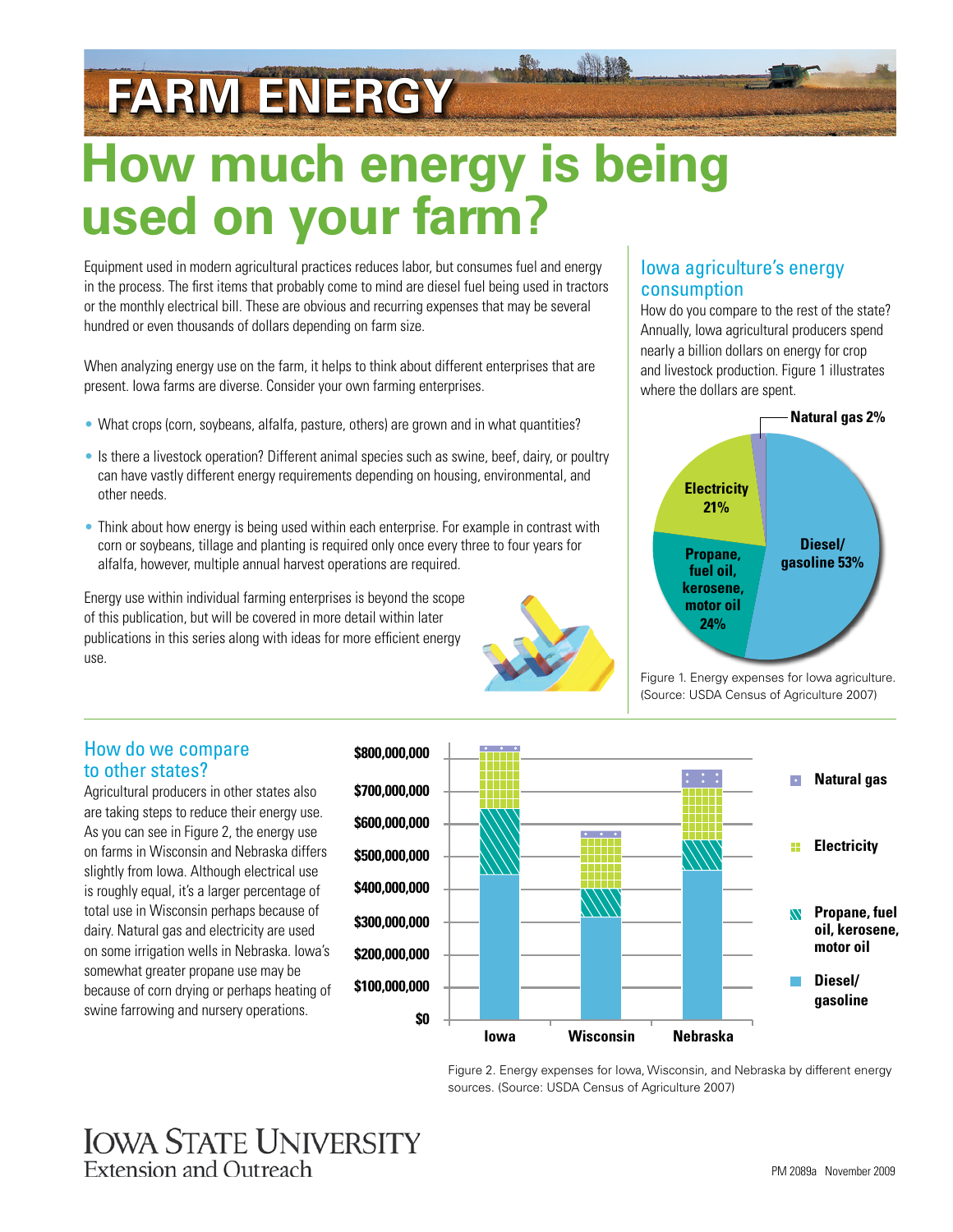# **FARM ENERGY**

## **How much energy is being used on your farm?**

Equipment used in modern agricultural practices reduces labor, but consumes fuel and energy in the process. The first items that probably come to mind are diesel fuel being used in tractors or the monthly electrical bill. These are obvious and recurring expenses that may be several hundred or even thousands of dollars depending on farm size.

When analyzing energy use on the farm, it helps to think about different enterprises that are present. Iowa farms are diverse. Consider your own farming enterprises.

- What crops (corn, soybeans, alfalfa, pasture, others) are grown and in what quantities?
- Is there a livestock operation? Different animal species such as swine, beef, dairy, or poultry can have vastly different energy requirements depending on housing, environmental, and other needs.
- Think about how energy is being used within each enterprise. For example in contrast with corn or soybeans, tillage and planting is required only once every three to four years for alfalfa, however, multiple annual harvest operations are required.

Energy use within individual farming enterprises is beyond the scope of this publication, but will be covered in more detail within later publications in this series along with ideas for more efficient energy use.

#### Iowa agriculture's energy consumption

How do you compare to the rest of the state? Annually, Iowa agricultural producers spend nearly a billion dollars on energy for crop and livestock production. Figure 1 illustrates where the dollars are spent.



Figure 1. Energy expenses for Iowa agriculture. (Source: USDA Census of Agriculture 2007)

#### How do we compare to other states?

Agricultural producers in other states also are taking steps to reduce their energy use. As you can see in Figure 2, the energy use on farms in Wisconsin and Nebraska differs slightly from Iowa. Although electrical use is roughly equal, it's a larger percentage of total use in Wisconsin perhaps because of dairy. Natural gas and electricity are used on some irrigation wells in Nebraska. Iowa's somewhat greater propane use may be because of corn drying or perhaps heating of swine farrowing and nursery operations.



Figure 2. Energy expenses for Iowa, Wisconsin, and Nebraska by different energy sources. (Source: USDA Census of Agriculture 2007)

### **IOWA STATE UNIVERSITY** Extension and Outreach